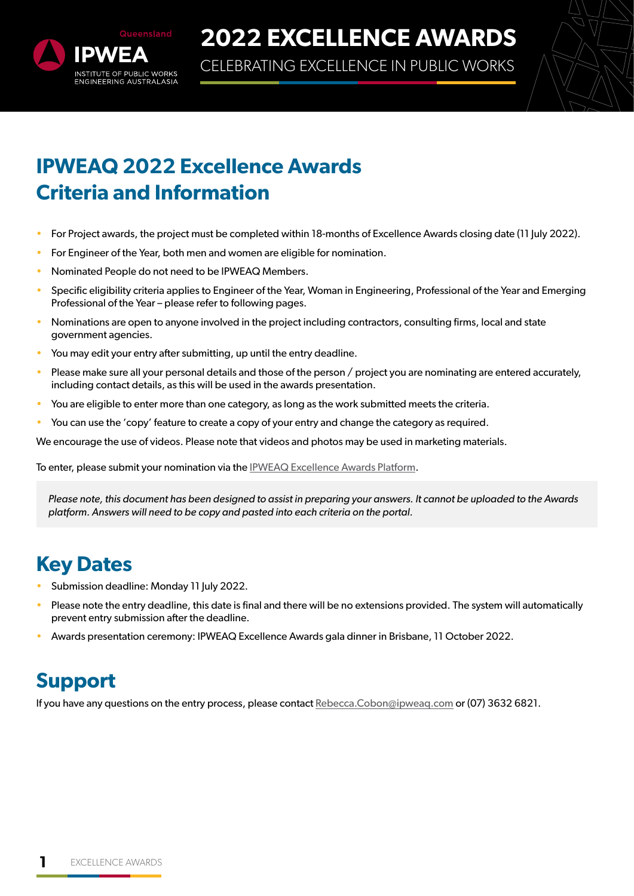

CELEBRATING EXCELLENCE IN PUBLIC WORKS



## **IPWEAQ 2022 Excellence Awards Criteria and Information**

- For Project awards, the project must be completed within 18-months of Excellence Awards closing date (11 July 2022).
- For Engineer of the Year, both men and women are eligible for nomination.
- Nominated People do not need to be IPWEAQ Members.
- Specific eligibility criteria applies to Engineer of the Year, Woman in Engineering, Professional of the Year and Emerging Professional of the Year – please refer to following pages.
- Nominations are open to anyone involved in the project including contractors, consulting firms, local and state government agencies.
- You may edit your entry after submitting, up until the entry deadline.
- Please make sure all your personal details and those of the person / project you are nominating are entered accurately, including contact details, as this will be used in the awards presentation.
- You are eligible to enter more than one category, as long as the work submitted meets the criteria.
- You can use the 'copy' feature to create a copy of your entry and change the category as required.

We encourage the use of videos. Please note that videos and photos may be used in marketing materials.

To enter, please submit your nomination via the [IPWEAQ Excellence Awards Platform](https://ipweaq.awardsplatform.com/).

*Please note, this document has been designed to assist in preparing your answers. It cannot be uploaded to the Awards platform. Answers will need to be copy and pasted into each criteria on the portal.*

### **Key Dates**

- Submission deadline: Monday 11 July 2022.
- Please note the entry deadline, this date is final and there will be no extensions provided. The system will automatically prevent entry submission after the deadline.
- Awards presentation ceremony: IPWEAQ Excellence Awards gala dinner in Brisbane, 11 October 2022.

### **Support**

If you have any questions on the entry process, please contact Rebecca.Cobon@ipweaq.com or (07) 3632 6821.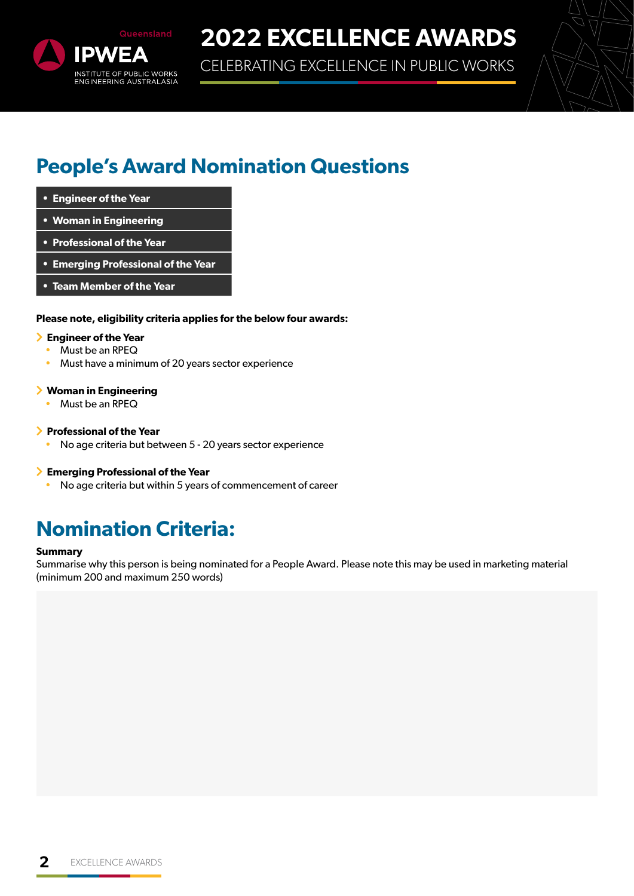

CELEBRATING EXCELLENCE IN PUBLIC WORKS

### **People's Award Nomination Questions**

- **• Engineer of the Year**
- **• Woman in Engineering**
- **• Professional of the Year**
- **• Emerging Professional of the Year**
- **• Team Member of the Year**

#### **Please note, eligibility criteria applies for the below four awards:**

#### **Engineer of the Year**

- Must be an RPEQ
- Must have a minimum of 20 years sector experience

#### **Woman in Engineering**

• Must be an RPEQ

#### **Professional of the Year**

• No age criteria but between 5 - 20 years sector experience

#### **Emerging Professional of the Year**

• No age criteria but within 5 years of commencement of career

### **Nomination Criteria:**

#### **Summary**

Summarise why this person is being nominated for a People Award. Please note this may be used in marketing material (minimum 200 and maximum 250 words)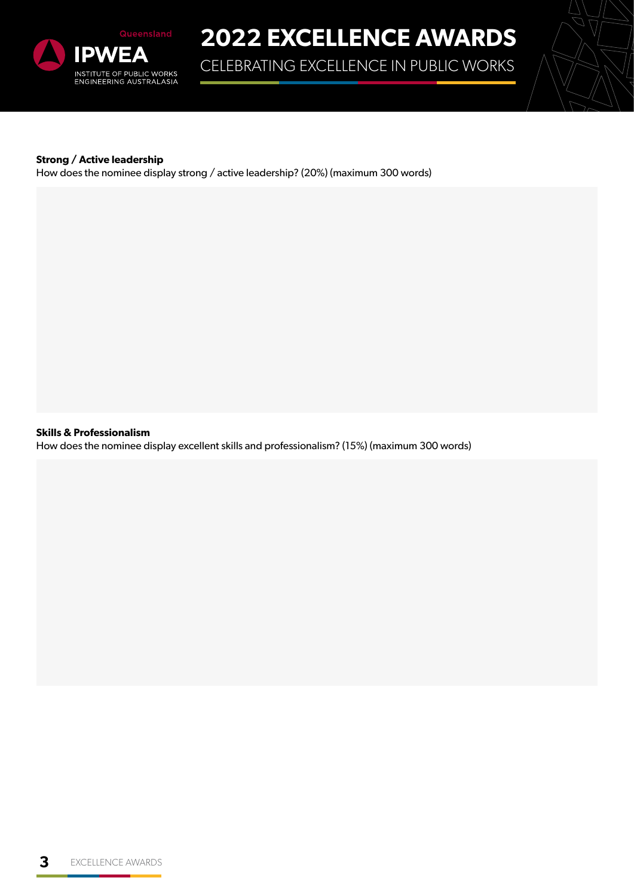

CELEBRATING EXCELLENCE IN PUBLIC WORKS



#### **Strong / Active leadership**

How does the nominee display strong / active leadership? (20%) (maximum 300 words)

**Skills & Professionalism**

How does the nominee display excellent skills and professionalism? (15%) (maximum 300 words)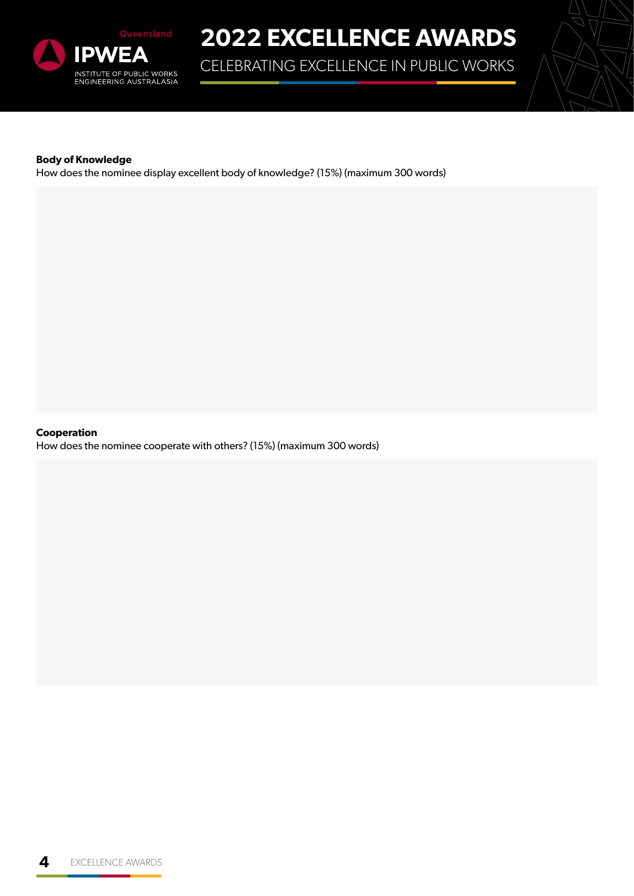

CELEBRATING EXCELLENCE IN PUBLIC WORKS



#### **Body of Knowledge**

How does the nominee display excellent body of knowledge? (15%) (maximum 300 words)

**Cooperation**

How does the nominee cooperate with others? (15%) (maximum 300 words)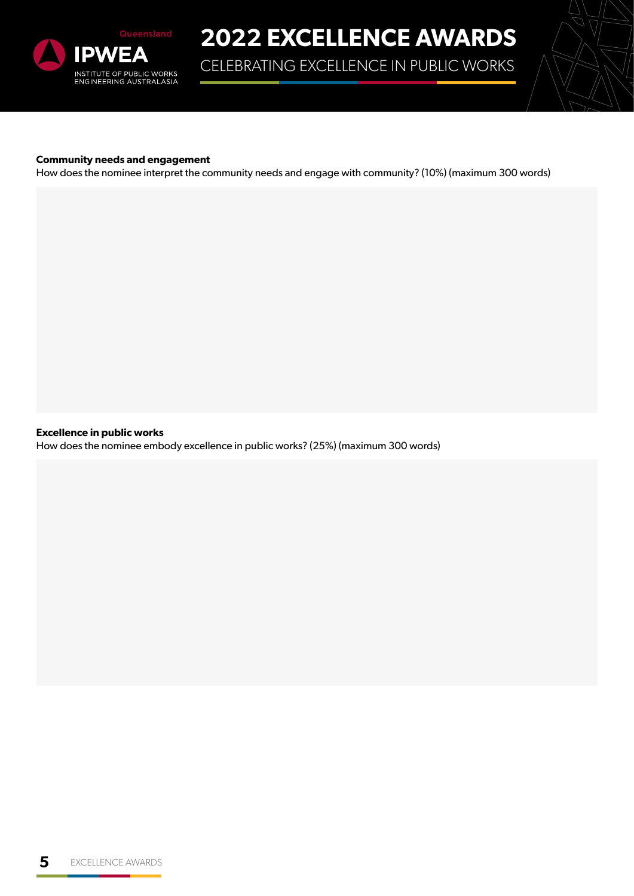

CELEBRATING EXCELLENCE IN PUBLIC WORKS



#### **Community needs and engagement**

How does the nominee interpret the community needs and engage with community? (10%) (maximum 300 words)

**Excellence in public works**

How does the nominee embody excellence in public works? (25%) (maximum 300 words)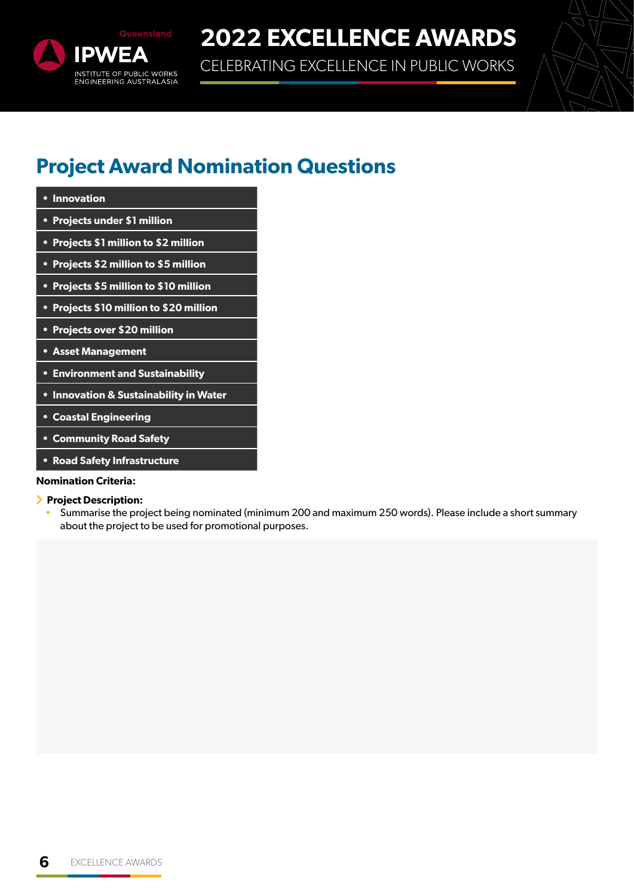

CELEBRATING EXCELLENCE IN PUBLIC WORKS

### **Project Award Nomination Questions**

| • Innovation                            |
|-----------------------------------------|
| • Projects under \$1 million            |
| • Projects \$1 million to \$2 million   |
| • Projects \$2 million to \$5 million   |
| • Projects \$5 million to \$10 million  |
| • Projects \$10 million to \$20 million |
| • Projects over \$20 million            |
| <b>• Asset Management</b>               |
| <b>• Environment and Sustainability</b> |
| • Innovation & Sustainability in Water  |
|                                         |

- **• Coastal Engineering**
- **• Community Road Safety**
- **• Road Safety Infrastructure**

#### **Nomination Criteria:**

- **Project Description:**
	- Summarise the project being nominated (minimum 200 and maximum 250 words). Please include a short summary about the project to be used for promotional purposes.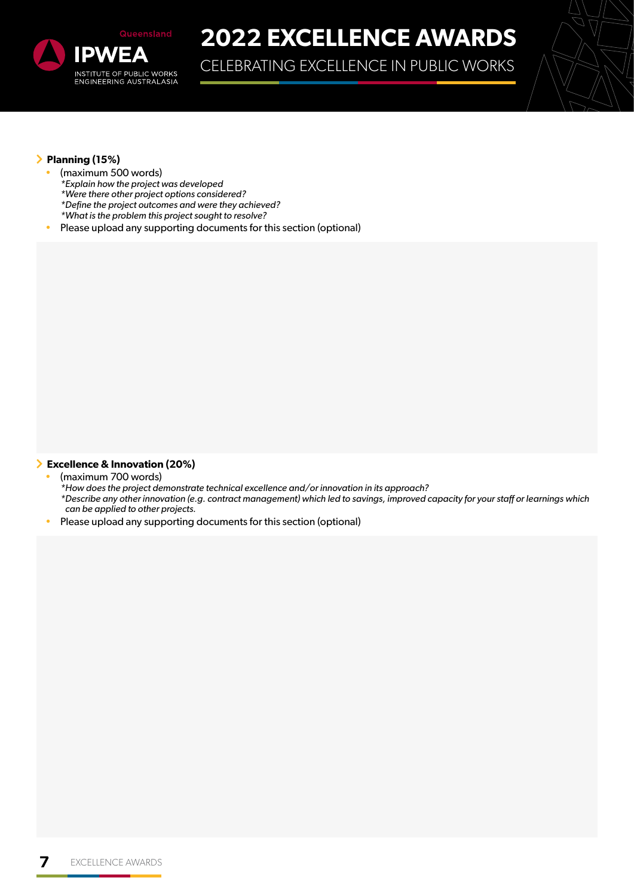

CELEBRATING EXCELLENCE IN PUBLIC WORKS



#### **Planning (15%)**

- (maximum 500 words)
	- *\*Explain how the project was developed*
	- *\*Were there other project options considered?*
	- *\*Define the project outcomes and were they achieved?*
	- *\*What is the problem this project sought to resolve?*
- Please upload any supporting documents for this section (optional)

#### **Excellence & Innovation (20%)**

- (maximum 700 words)
	- *\*How does the project demonstrate technical excellence and/or innovation in its approach?*
	- *\*Describe any other innovation (e.g. contract management) which led to savings, improved capacity for your staff or learnings which can be applied to other projects.*
- Please upload any supporting documents for this section (optional)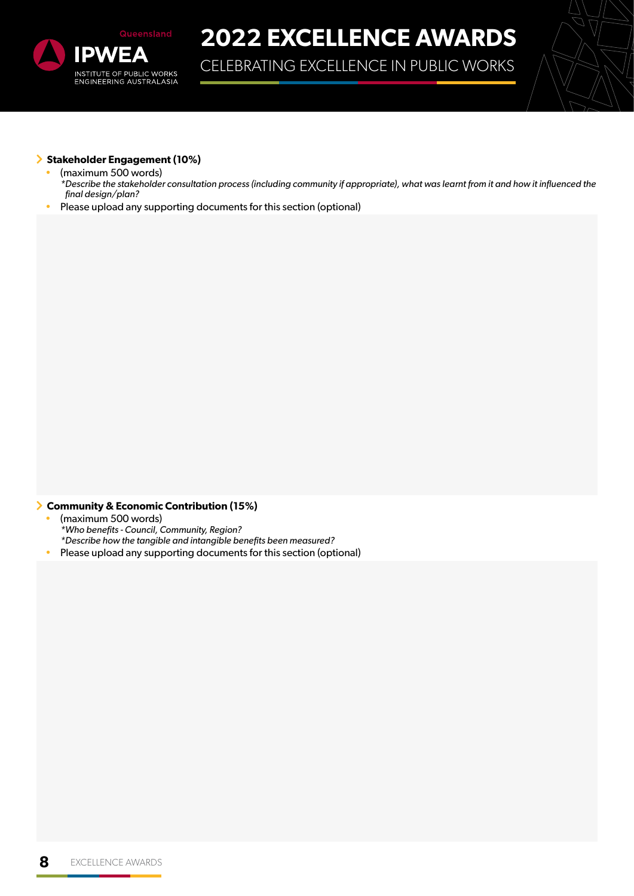

CELEBRATING EXCELLENCE IN PUBLIC WORKS



#### **Stakeholder Engagement (10%)**

- (maximum 500 words)
- *\*Describe the stakeholder consultation process (including community if appropriate), what was learnt from it and how it influenced the final design/plan?*
- Please upload any supporting documents for this section (optional)

#### **Community & Economic Contribution (15%)**

- (maximum 500 words) *\*Who benefits - Council, Community, Region? \*Describe how the tangible and intangible benefits been measured?*
- Please upload any supporting documents for this section (optional)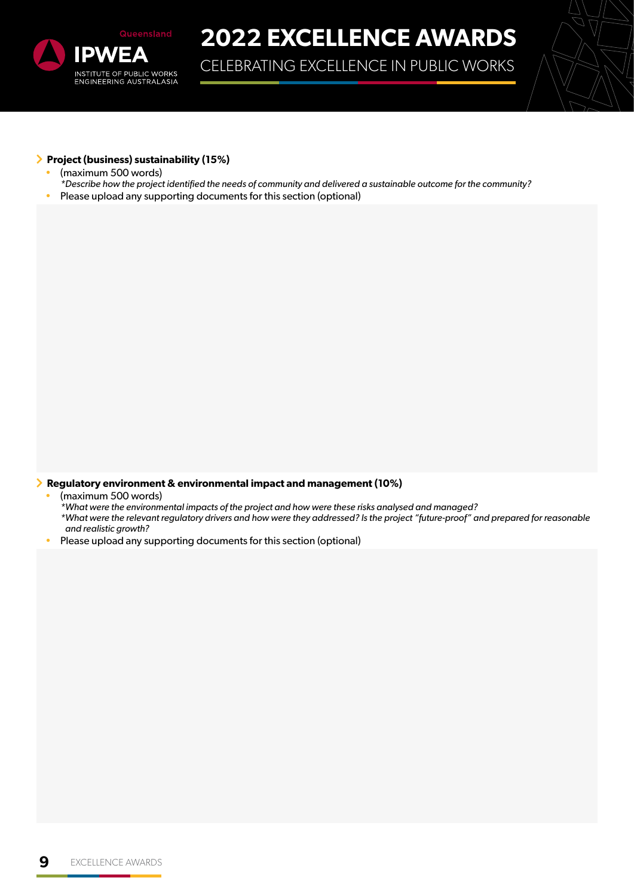

CELEBRATING EXCELLENCE IN PUBLIC WORKS



#### **Project (business) sustainability (15%)**

- (maximum 500 words)
- *\*Describe how the project identified the needs of community and delivered a sustainable outcome for the community?*
- Please upload any supporting documents for this section (optional)

**Regulatory environment & environmental impact and management (10%)**

• (maximum 500 words)

*\*What were the environmental impacts of the project and how were these risks analysed and managed? \*What were the relevant regulatory drivers and how were they addressed? Is the project "future-proof" and prepared for reasonable and realistic growth?*

• Please upload any supporting documents for this section (optional)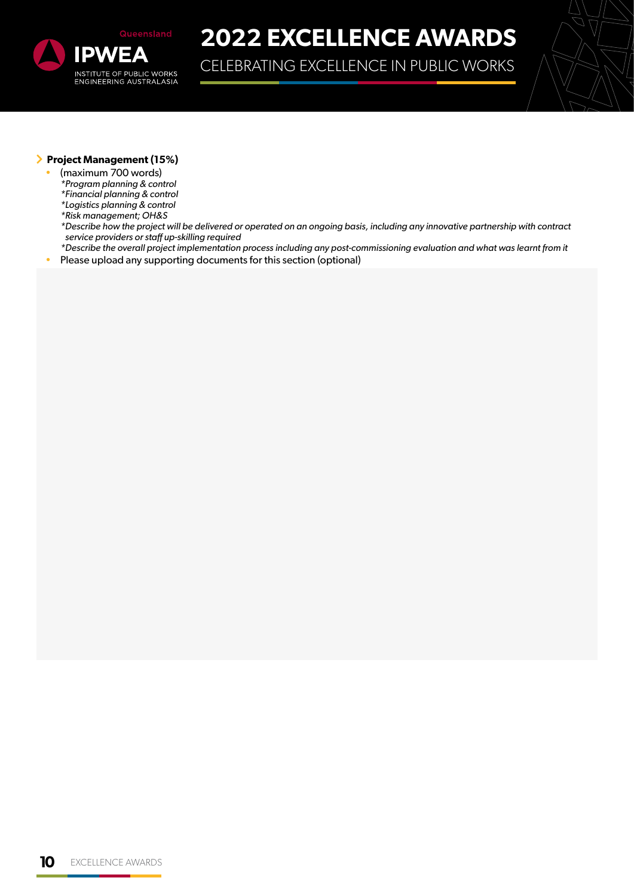

CELEBRATING EXCELLENCE IN PUBLIC WORKS



#### **Project Management (15%)**

- (maximum 700 words)
- *\*Program planning & control*
- *\*Financial planning & control*
- *\*Logistics planning & control*
- *\*Risk management; OH&S*
- *\*Describe how the project will be delivered or operated on an ongoing basis, including any innovative partnership with contract service providers or staff up-skilling required*
- *\*Describe the overall project implementation process including any post-commissioning evaluation and what was learnt from it* • Please upload any supporting documents for this section (optional)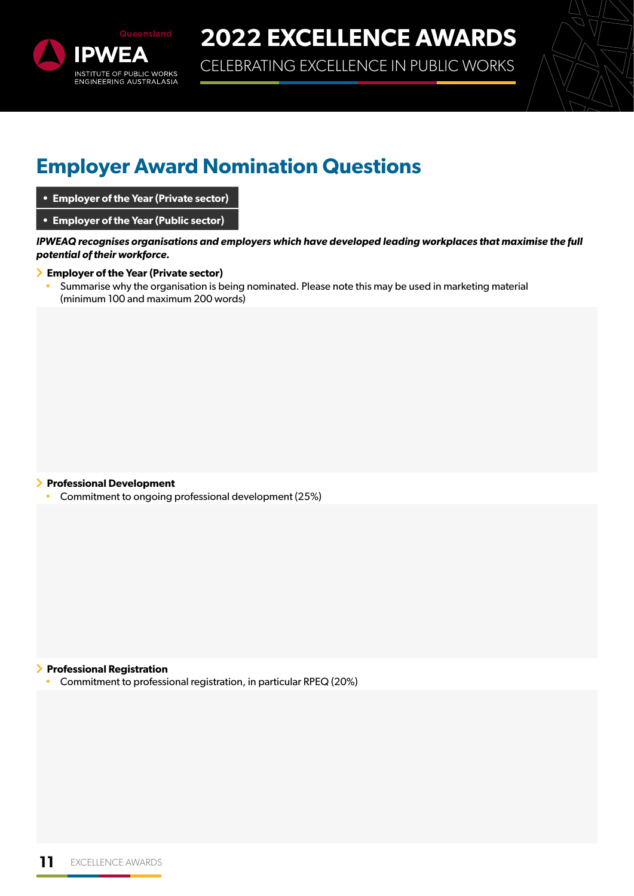

CELEBRATING EXCELLENCE IN PUBLIC WORKS



### **Employer Award Nomination Questions**

- **• Employer of the Year (Private sector)**
- **• Employer of the Year (Public sector)**

*IPWEAQ recognises organisations and employers which have developed leading workplaces that maximise the full potential of their workforce.*

#### **Employer of the Year (Private sector)**

• Summarise why the organisation is being nominated. Please note this may be used in marketing material (minimum 100 and maximum 200 words)

#### **Professional Development**

• Commitment to ongoing professional development (25%)

#### **Professional Registration**

• Commitment to professional registration, in particular RPEQ (20%)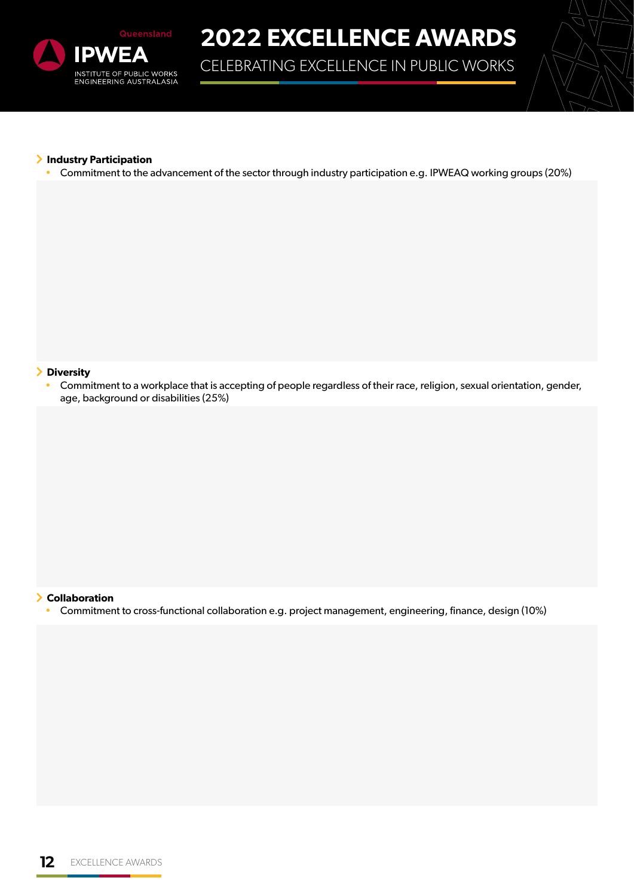

CELEBRATING EXCELLENCE IN PUBLIC WORKS



#### **Industry Participation**

• Commitment to the advancement of the sector through industry participation e.g. IPWEAQ working groups (20%)

#### **Diversity**

• Commitment to a workplace that is accepting of people regardless of their race, religion, sexual orientation, gender, age, background or disabilities (25%)

#### **Collaboration**

• Commitment to cross-functional collaboration e.g. project management, engineering, finance, design (10%)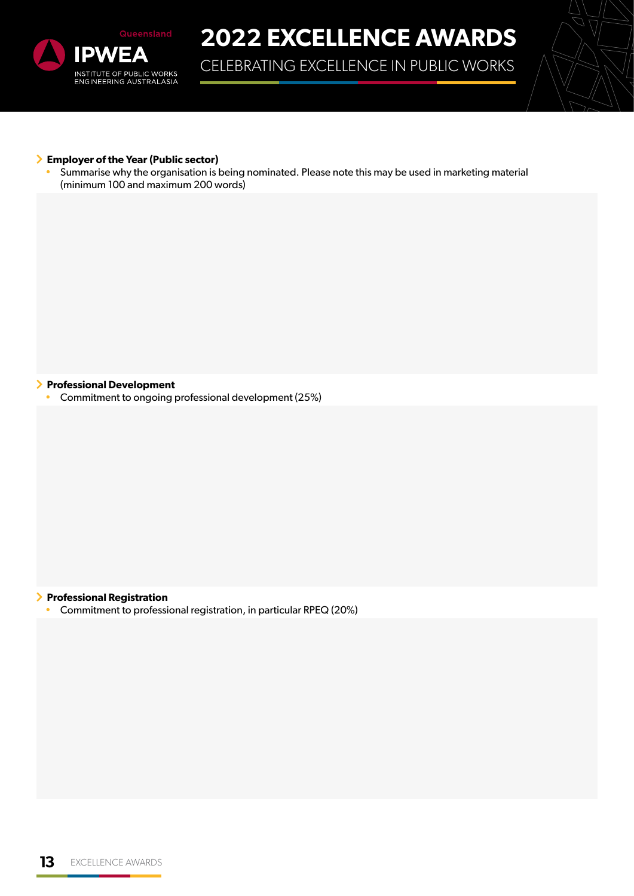

CELEBRATING EXCELLENCE IN PUBLIC WORKS



#### **Employer of the Year (Public sector)**

• Summarise why the organisation is being nominated. Please note this may be used in marketing material (minimum 100 and maximum 200 words)

#### **Professional Development**

• Commitment to ongoing professional development (25%)

#### **Professional Registration**

• Commitment to professional registration, in particular RPEQ (20%)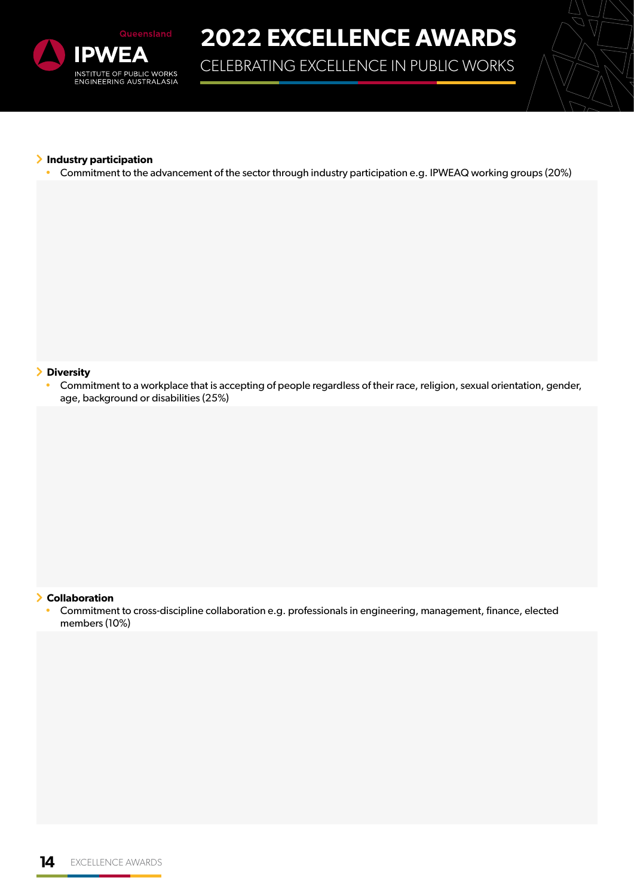

CELEBRATING EXCELLENCE IN PUBLIC WORKS



#### **Industry participation**

• Commitment to the advancement of the sector through industry participation e.g. IPWEAQ working groups (20%)

#### **Diversity**

• Commitment to a workplace that is accepting of people regardless of their race, religion, sexual orientation, gender, age, background or disabilities (25%)

#### **Collaboration**

• Commitment to cross-discipline collaboration e.g. professionals in engineering, management, finance, elected members (10%)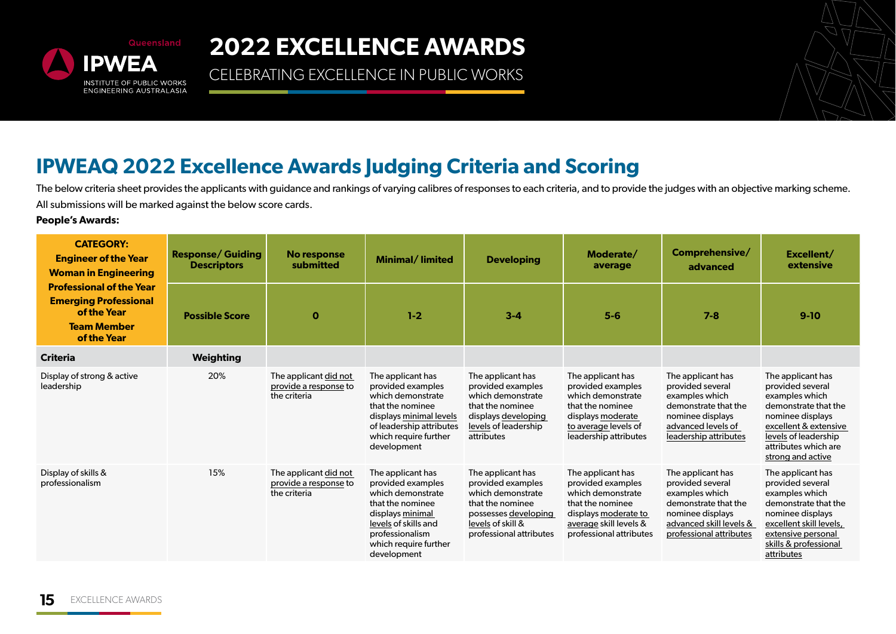

CELEBRATING EXCELLENCE IN PUBLIC WORKS



### **IPWEAQ 2022 Excellence Awards Judging Criteria and Scoring**

The below criteria sheet provides the applicants with guidance and rankings of varying calibres of responses to each criteria, and to provide the judges with an objective marking scheme. All submissions will be marked against the below score cards.

#### **People's Awards:**

| <b>CATEGORY:</b><br><b>Engineer of the Year</b><br><b>Woman in Engineering</b>                                      | <b>Response/ Guiding</b><br><b>Descriptors</b> | No response<br>submitted                                       | <b>Minimal/Iimited</b>                                                                                                                                                                 | <b>Developing</b>                                                                                                                                       | Moderate/<br>average                                                                                                                                         | Comprehensive/<br>advanced                                                                                                                                | Excellent/<br>extensive                                                                                                                                                                           |
|---------------------------------------------------------------------------------------------------------------------|------------------------------------------------|----------------------------------------------------------------|----------------------------------------------------------------------------------------------------------------------------------------------------------------------------------------|---------------------------------------------------------------------------------------------------------------------------------------------------------|--------------------------------------------------------------------------------------------------------------------------------------------------------------|-----------------------------------------------------------------------------------------------------------------------------------------------------------|---------------------------------------------------------------------------------------------------------------------------------------------------------------------------------------------------|
| <b>Professional of the Year</b><br><b>Emerging Professional</b><br>of the Year<br><b>Team Member</b><br>of the Year | <b>Possible Score</b>                          | $\mathbf 0$                                                    | $1-2$                                                                                                                                                                                  | $3 - 4$                                                                                                                                                 | $5-6$                                                                                                                                                        | $7 - 8$                                                                                                                                                   | $9-10$                                                                                                                                                                                            |
| <b>Criteria</b>                                                                                                     | <b>Weighting</b>                               |                                                                |                                                                                                                                                                                        |                                                                                                                                                         |                                                                                                                                                              |                                                                                                                                                           |                                                                                                                                                                                                   |
| Display of strong & active<br>leadership                                                                            | 20%                                            | The applicant did not<br>provide a response to<br>the criteria | The applicant has<br>provided examples<br>which demonstrate<br>that the nominee<br>displays minimal levels<br>of leadership attributes<br>which require further<br>development         | The applicant has<br>provided examples<br>which demonstrate<br>that the nominee<br>displays developing<br>levels of leadership<br>attributes            | The applicant has<br>provided examples<br>which demonstrate<br>that the nominee<br>displays moderate<br>to average levels of<br>leadership attributes        | The applicant has<br>provided several<br>examples which<br>demonstrate that the<br>nominee displays<br>advanced levels of<br>leadership attributes        | The applicant has<br>provided several<br>examples which<br>demonstrate that the<br>nominee displays<br>excellent & extensive<br>levels of leadership<br>attributes which are<br>strong and active |
| Display of skills &<br>professionalism                                                                              | 15%                                            | The applicant did not<br>provide a response to<br>the criteria | The applicant has<br>provided examples<br>which demonstrate<br>that the nominee<br>displays minimal<br>levels of skills and<br>professionalism<br>which require further<br>development | The applicant has<br>provided examples<br>which demonstrate<br>that the nominee<br>possesses developing<br>levels of skill &<br>professional attributes | The applicant has<br>provided examples<br>which demonstrate<br>that the nominee<br>displays moderate to<br>average skill levels &<br>professional attributes | The applicant has<br>provided several<br>examples which<br>demonstrate that the<br>nominee displays<br>advanced skill levels &<br>professional attributes | The applicant has<br>provided several<br>examples which<br>demonstrate that the<br>nominee displays<br>excellent skill levels,<br>extensive personal<br>skills & professional<br>attributes       |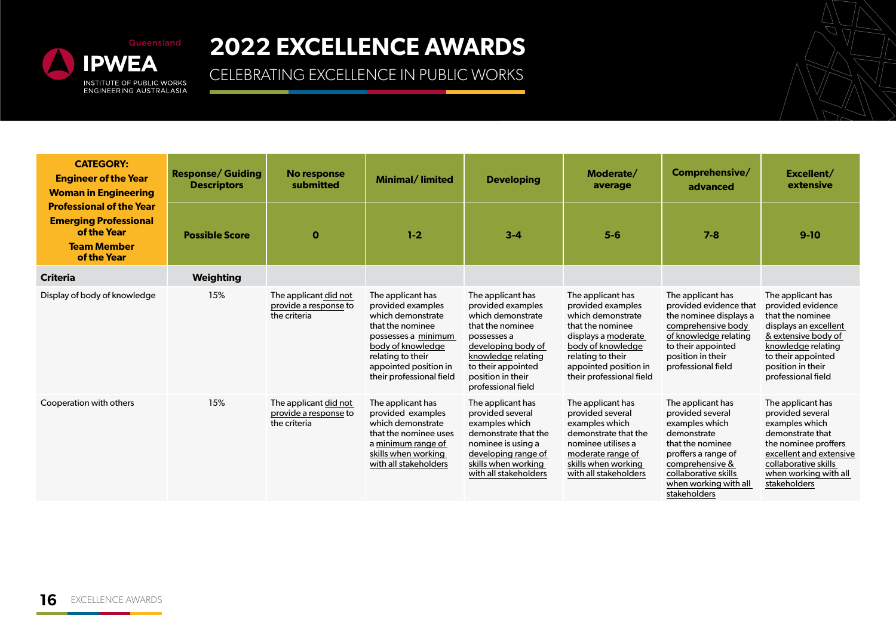

| <b>CATEGORY:</b><br><b>Engineer of the Year</b><br><b>Woman in Engineering</b>                                      | <b>Response/ Guiding</b><br><b>Descriptors</b> | No response<br>submitted                                       | <b>Minimal/limited</b>                                                                                                                                                                                | <b>Developing</b>                                                                                                                                                                                           | Moderate/<br>average                                                                                                                                                                                  | Comprehensive/<br>advanced                                                                                                                                                                            | Excellent/<br>extensive                                                                                                                                                                           |
|---------------------------------------------------------------------------------------------------------------------|------------------------------------------------|----------------------------------------------------------------|-------------------------------------------------------------------------------------------------------------------------------------------------------------------------------------------------------|-------------------------------------------------------------------------------------------------------------------------------------------------------------------------------------------------------------|-------------------------------------------------------------------------------------------------------------------------------------------------------------------------------------------------------|-------------------------------------------------------------------------------------------------------------------------------------------------------------------------------------------------------|---------------------------------------------------------------------------------------------------------------------------------------------------------------------------------------------------|
| <b>Professional of the Year</b><br><b>Emerging Professional</b><br>of the Year<br><b>Team Member</b><br>of the Year | <b>Possible Score</b>                          | $\mathbf 0$                                                    | $1 - 2$                                                                                                                                                                                               | $3 - 4$                                                                                                                                                                                                     | $5-6$                                                                                                                                                                                                 | $7 - 8$                                                                                                                                                                                               | $9-10$                                                                                                                                                                                            |
| <b>Criteria</b>                                                                                                     | <b>Weighting</b>                               |                                                                |                                                                                                                                                                                                       |                                                                                                                                                                                                             |                                                                                                                                                                                                       |                                                                                                                                                                                                       |                                                                                                                                                                                                   |
| Display of body of knowledge                                                                                        | 15%                                            | The applicant did not<br>provide a response to<br>the criteria | The applicant has<br>provided examples<br>which demonstrate<br>that the nominee<br>possesses a minimum<br>body of knowledge<br>relating to their<br>appointed position in<br>their professional field | The applicant has<br>provided examples<br>which demonstrate<br>that the nominee<br>possesses a<br>developing body of<br>knowledge relating<br>to their appointed<br>position in their<br>professional field | The applicant has<br>provided examples<br>which demonstrate<br>that the nominee<br>displays a moderate<br>body of knowledge<br>relating to their<br>appointed position in<br>their professional field | The applicant has<br>provided evidence that<br>the nominee displays a<br>comprehensive body<br>of knowledge relating<br>to their appointed<br>position in their<br>professional field                 | The applicant has<br>provided evidence<br>that the nominee<br>displays an excellent<br>& extensive body of<br>knowledge relating<br>to their appointed<br>position in their<br>professional field |
| Cooperation with others                                                                                             | 15%                                            | The applicant did not<br>provide a response to<br>the criteria | The applicant has<br>provided examples<br>which demonstrate<br>that the nominee uses<br>a minimum range of<br>skills when working<br>with all stakeholders                                            | The applicant has<br>provided several<br>examples which<br>demonstrate that the<br>nominee is using a<br>developing range of<br>skills when working<br>with all stakeholders                                | The applicant has<br>provided several<br>examples which<br>demonstrate that the<br>nominee utilises a<br>moderate range of<br>skills when working<br>with all stakeholders                            | The applicant has<br>provided several<br>examples which<br>demonstrate<br>that the nominee<br>proffers a range of<br>comprehensive &<br>collaborative skills<br>when working with all<br>stakeholders | The applicant has<br>provided several<br>examples which<br>demonstrate that<br>the nominee proffers<br>excellent and extensive<br>collaborative skills<br>when working with all<br>stakeholders   |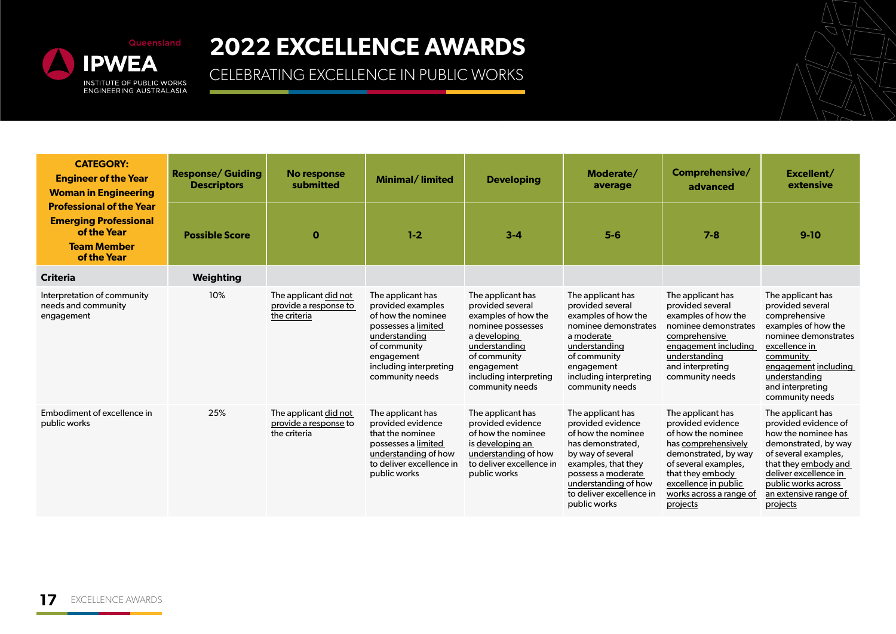

| <b>CATEGORY:</b><br><b>Engineer of the Year</b><br><b>Woman in Engineering</b>                                      | <b>Response/ Guiding</b><br><b>Descriptors</b> | No response<br>submitted                                       | Minimal/limited                                                                                                                                                                 | <b>Developing</b>                                                                                                                                                                             | Moderate/<br>average                                                                                                                                                                                                    | Comprehensive/<br>advanced                                                                                                                                                                                             | Excellent/<br>extensive                                                                                                                                                                                                       |
|---------------------------------------------------------------------------------------------------------------------|------------------------------------------------|----------------------------------------------------------------|---------------------------------------------------------------------------------------------------------------------------------------------------------------------------------|-----------------------------------------------------------------------------------------------------------------------------------------------------------------------------------------------|-------------------------------------------------------------------------------------------------------------------------------------------------------------------------------------------------------------------------|------------------------------------------------------------------------------------------------------------------------------------------------------------------------------------------------------------------------|-------------------------------------------------------------------------------------------------------------------------------------------------------------------------------------------------------------------------------|
| <b>Professional of the Year</b><br><b>Emerging Professional</b><br>of the Year<br><b>Team Member</b><br>of the Year | <b>Possible Score</b>                          | $\mathbf 0$                                                    | $1 - 2$                                                                                                                                                                         | $3 - 4$                                                                                                                                                                                       | $5-6$                                                                                                                                                                                                                   | $7 - 8$                                                                                                                                                                                                                | $9-10$                                                                                                                                                                                                                        |
| <b>Criteria</b>                                                                                                     | <b>Weighting</b>                               |                                                                |                                                                                                                                                                                 |                                                                                                                                                                                               |                                                                                                                                                                                                                         |                                                                                                                                                                                                                        |                                                                                                                                                                                                                               |
| Interpretation of community<br>needs and community<br>engagement                                                    | 10%                                            | The applicant did not<br>provide a response to<br>the criteria | The applicant has<br>provided examples<br>of how the nominee<br>possesses a limited<br>understanding<br>of community<br>engagement<br>including interpreting<br>community needs | The applicant has<br>provided several<br>examples of how the<br>nominee possesses<br>a developing<br>understanding<br>of community<br>engagement<br>including interpreting<br>community needs | The applicant has<br>provided several<br>examples of how the<br>nominee demonstrates<br>a moderate<br>understanding<br>of community<br>engagement<br>including interpreting<br>community needs                          | The applicant has<br>provided several<br>examples of how the<br>nominee demonstrates<br>comprehensive<br>engagement including<br>understanding<br>and interpreting<br>community needs                                  | The applicant has<br>provided several<br>comprehensive<br>examples of how the<br>nominee demonstrates<br>excellence in<br>community<br>engagement including<br>understanding<br>and interpreting<br>community needs           |
| Embodiment of excellence in<br>public works                                                                         | 25%                                            | The applicant did not<br>provide a response to<br>the criteria | The applicant has<br>provided evidence<br>that the nominee<br>possesses a limited<br>understanding of how<br>to deliver excellence in<br>public works                           | The applicant has<br>provided evidence<br>of how the nominee<br>is developing an<br>understanding of how<br>to deliver excellence in<br>public works                                          | The applicant has<br>provided evidence<br>of how the nominee<br>has demonstrated,<br>by way of several<br>examples, that they<br>possess a moderate<br>understanding of how<br>to deliver excellence in<br>public works | The applicant has<br>provided evidence<br>of how the nominee<br>has comprehensively<br>demonstrated, by way<br>of several examples,<br>that they embody<br>excellence in public<br>works across a range of<br>projects | The applicant has<br>provided evidence of<br>how the nominee has<br>demonstrated, by way<br>of several examples,<br>that they embody and<br>deliver excellence in<br>public works across<br>an extensive range of<br>projects |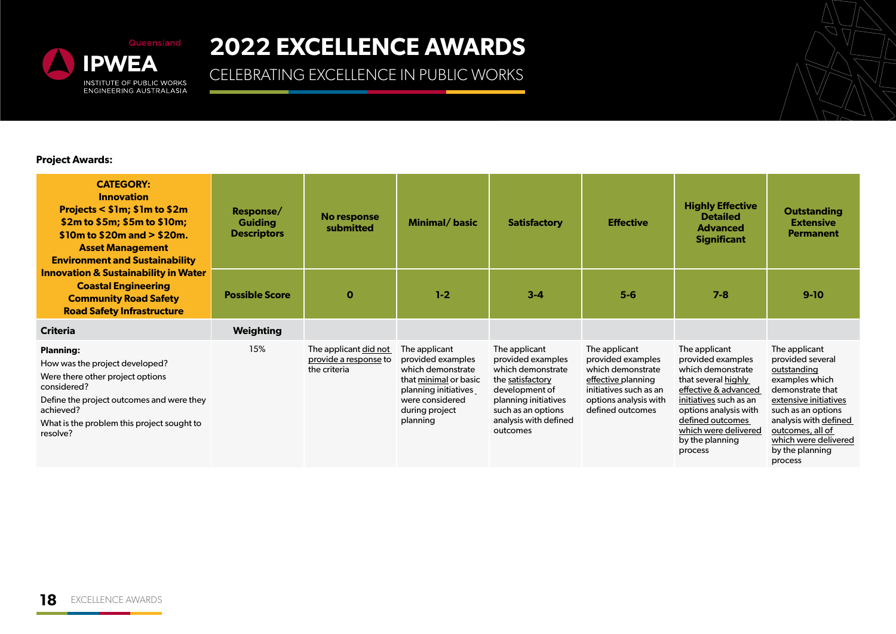

CELEBRATING EXCELLENCE IN PUBLIC WORKS

#### **Project Awards:**

| <b>CATEGORY:</b><br><b>Innovation</b><br>Projects < \$1m; \$1m to \$2m<br>\$2m to \$5m; \$5m to \$10m;<br>$$10m$ to $$20m$ and $> $20m$ .<br><b>Asset Management</b><br><b>Environment and Sustainability</b>             | Response/<br><b>Guiding</b><br><b>Descriptors</b> | No response<br>submitted                                       | Minimal/basic                                                                                                                                             | <b>Satisfactory</b>                                                                                                                                                              | <b>Effective</b>                                                                                                                                     | <b>Highly Effective</b><br><b>Detailed</b><br><b>Advanced</b><br><b>Significant</b>                                                                                                                                                 | <b>Outstanding</b><br><b>Extensive</b><br><b>Permanent</b>                                                                                                                                                                               |
|---------------------------------------------------------------------------------------------------------------------------------------------------------------------------------------------------------------------------|---------------------------------------------------|----------------------------------------------------------------|-----------------------------------------------------------------------------------------------------------------------------------------------------------|----------------------------------------------------------------------------------------------------------------------------------------------------------------------------------|------------------------------------------------------------------------------------------------------------------------------------------------------|-------------------------------------------------------------------------------------------------------------------------------------------------------------------------------------------------------------------------------------|------------------------------------------------------------------------------------------------------------------------------------------------------------------------------------------------------------------------------------------|
| <b>Innovation &amp; Sustainability in Water</b><br><b>Coastal Engineering</b><br><b>Community Road Safety</b><br><b>Road Safety Infrastructure</b>                                                                        | <b>Possible Score</b>                             | $\mathbf 0$                                                    | $1 - 2$                                                                                                                                                   | $3 - 4$                                                                                                                                                                          | $5-6$                                                                                                                                                | $7 - 8$                                                                                                                                                                                                                             | $9-10$                                                                                                                                                                                                                                   |
| <b>Criteria</b>                                                                                                                                                                                                           | <b>Weighting</b>                                  |                                                                |                                                                                                                                                           |                                                                                                                                                                                  |                                                                                                                                                      |                                                                                                                                                                                                                                     |                                                                                                                                                                                                                                          |
| <b>Planning:</b><br>How was the project developed?<br>Were there other project options<br>considered?<br>Define the project outcomes and were they<br>achieved?<br>What is the problem this project sought to<br>resolve? | 15%                                               | The applicant did not<br>provide a response to<br>the criteria | The applicant<br>provided examples<br>which demonstrate<br>that minimal or basic<br>planning initiatives<br>were considered<br>during project<br>planning | The applicant<br>provided examples<br>which demonstrate<br>the satisfactory<br>development of<br>planning initiatives<br>such as an options<br>analysis with defined<br>outcomes | The applicant<br>provided examples<br>which demonstrate<br>effective planning<br>initiatives such as an<br>options analysis with<br>defined outcomes | The applicant<br>provided examples<br>which demonstrate<br>that several highly<br>effective & advanced<br>initiatives such as an<br>options analysis with<br>defined outcomes<br>which were delivered<br>by the planning<br>process | The applicant<br>provided several<br>outstanding<br>examples which<br>demonstrate that<br>extensive initiatives<br>such as an options<br>analysis with defined<br>outcomes, all of<br>which were delivered<br>by the planning<br>process |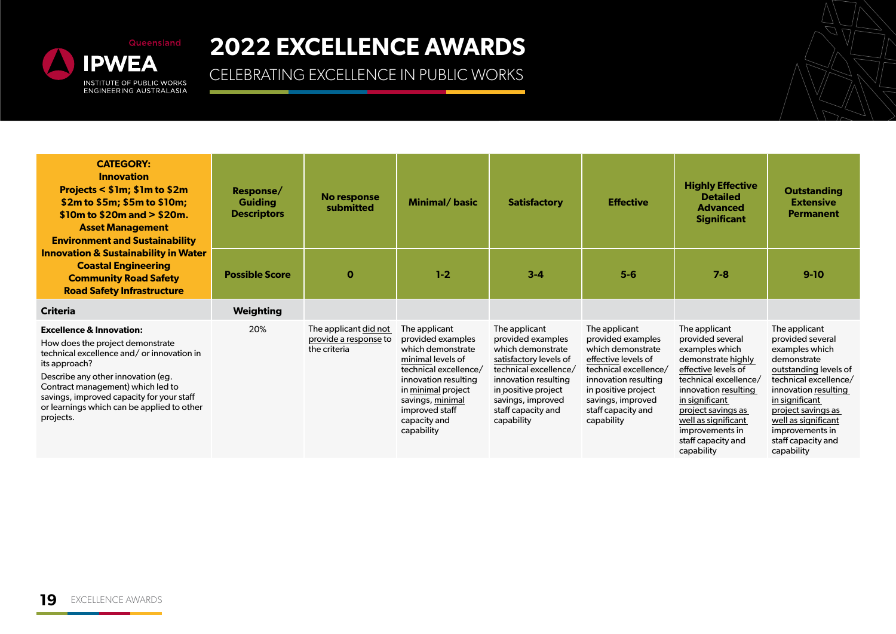

| <b>CATEGORY:</b><br><b>Innovation</b><br>Projects < \$1m; \$1m to \$2m<br>\$2m to \$5m; \$5m to \$10m;<br>$$10m$ to $$20m$ and $> $20m$ .<br><b>Asset Management</b><br><b>Environment and Sustainability</b>                                                                                                            | Response/<br><b>Guiding</b><br><b>Descriptors</b> | No response<br>submitted                                       | Minimal/basic                                                                                                                                                                                                           | <b>Satisfactory</b>                                                                                                                                                                                                | <b>Effective</b>                                                                                                                                                                                                | <b>Highly Effective</b><br><b>Detailed</b><br><b>Advanced</b><br><b>Significant</b>                                                                                                                                                                                     | <b>Outstanding</b><br><b>Extensive</b><br><b>Permanent</b>                                                                                                                                                                                                         |
|--------------------------------------------------------------------------------------------------------------------------------------------------------------------------------------------------------------------------------------------------------------------------------------------------------------------------|---------------------------------------------------|----------------------------------------------------------------|-------------------------------------------------------------------------------------------------------------------------------------------------------------------------------------------------------------------------|--------------------------------------------------------------------------------------------------------------------------------------------------------------------------------------------------------------------|-----------------------------------------------------------------------------------------------------------------------------------------------------------------------------------------------------------------|-------------------------------------------------------------------------------------------------------------------------------------------------------------------------------------------------------------------------------------------------------------------------|--------------------------------------------------------------------------------------------------------------------------------------------------------------------------------------------------------------------------------------------------------------------|
| <b>Innovation &amp; Sustainability in Water</b><br><b>Coastal Engineering</b><br><b>Community Road Safety</b><br><b>Road Safety Infrastructure</b>                                                                                                                                                                       | <b>Possible Score</b>                             | $\mathbf 0$                                                    | $1-2$                                                                                                                                                                                                                   | $3 - 4$                                                                                                                                                                                                            | $5-6$                                                                                                                                                                                                           | $7 - 8$                                                                                                                                                                                                                                                                 | $9-10$                                                                                                                                                                                                                                                             |
| <b>Criteria</b>                                                                                                                                                                                                                                                                                                          | Weighting                                         |                                                                |                                                                                                                                                                                                                         |                                                                                                                                                                                                                    |                                                                                                                                                                                                                 |                                                                                                                                                                                                                                                                         |                                                                                                                                                                                                                                                                    |
| <b>Excellence &amp; Innovation:</b><br>How does the project demonstrate<br>technical excellence and/or innovation in<br>its approach?<br>Describe any other innovation (eg.<br>Contract management) which led to<br>savings, improved capacity for your staff<br>or learnings which can be applied to other<br>projects. | 20%                                               | The applicant did not<br>provide a response to<br>the criteria | The applicant<br>provided examples<br>which demonstrate<br>minimal levels of<br>technical excellence/<br>innovation resulting<br>in minimal project<br>savings, minimal<br>improved staff<br>capacity and<br>capability | The applicant<br>provided examples<br>which demonstrate<br>satisfactory levels of<br>technical excellence/<br>innovation resulting<br>in positive project<br>savings, improved<br>staff capacity and<br>capability | The applicant<br>provided examples<br>which demonstrate<br>effective levels of<br>technical excellence/<br>innovation resulting<br>in positive project<br>savings, improved<br>staff capacity and<br>capability | The applicant<br>provided several<br>examples which<br>demonstrate highly<br>effective levels of<br>technical excellence/<br>innovation resulting<br>in significant<br>project savings as<br>well as significant<br>improvements in<br>staff capacity and<br>capability | The applicant<br>provided several<br>examples which<br>demonstrate<br>outstanding levels of<br>technical excellence/<br>innovation resulting<br>in significant<br>project savings as<br>well as significant<br>improvements in<br>staff capacity and<br>capability |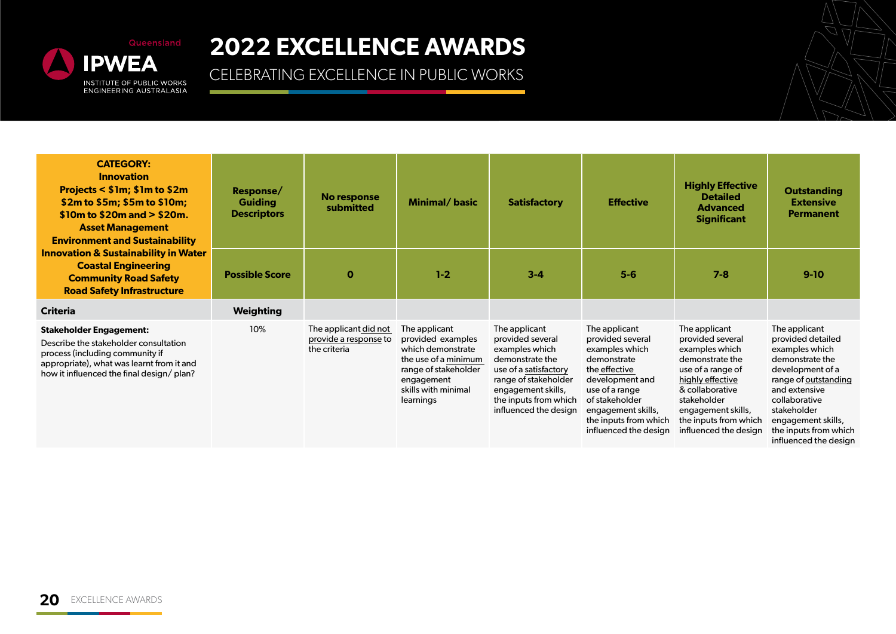

| <b>CATEGORY:</b><br><b>Innovation</b><br>Projects < \$1m; \$1m to \$2m<br>\$2m to \$5m; \$5m to \$10m;<br>$$10m$ to $$20m$ and $> $20m$ .<br><b>Asset Management</b><br><b>Environment and Sustainability</b> | Response/<br><b>Guiding</b><br><b>Descriptors</b> | <b>No response</b><br>submitted                                | Minimal/basic                                                                                                                                             | <b>Satisfactory</b>                                                                                                                                                                             | <b>Effective</b>                                                                                                                                                                                                   | <b>Highly Effective</b><br><b>Detailed</b><br><b>Advanced</b><br><b>Significant</b>                                                                                                                                       | <b>Outstanding</b><br><b>Extensive</b><br><b>Permanent</b>                                                                                                                                                                                   |
|---------------------------------------------------------------------------------------------------------------------------------------------------------------------------------------------------------------|---------------------------------------------------|----------------------------------------------------------------|-----------------------------------------------------------------------------------------------------------------------------------------------------------|-------------------------------------------------------------------------------------------------------------------------------------------------------------------------------------------------|--------------------------------------------------------------------------------------------------------------------------------------------------------------------------------------------------------------------|---------------------------------------------------------------------------------------------------------------------------------------------------------------------------------------------------------------------------|----------------------------------------------------------------------------------------------------------------------------------------------------------------------------------------------------------------------------------------------|
| <b>Innovation &amp; Sustainability in Water</b><br><b>Coastal Engineering</b><br><b>Community Road Safety</b><br><b>Road Safety Infrastructure</b>                                                            | <b>Possible Score</b>                             | $\mathbf 0$                                                    | $1 - 2$                                                                                                                                                   | $3 - 4$                                                                                                                                                                                         | $5-6$                                                                                                                                                                                                              | $7 - 8$                                                                                                                                                                                                                   | $9-10$                                                                                                                                                                                                                                       |
| <b>Criteria</b>                                                                                                                                                                                               | Weighting                                         |                                                                |                                                                                                                                                           |                                                                                                                                                                                                 |                                                                                                                                                                                                                    |                                                                                                                                                                                                                           |                                                                                                                                                                                                                                              |
| <b>Stakeholder Engagement:</b><br>Describe the stakeholder consultation<br>process (including community if<br>appropriate), what was learnt from it and<br>how it influenced the final design/ plan?          | 10%                                               | The applicant did not<br>provide a response to<br>the criteria | The applicant<br>provided examples<br>which demonstrate<br>the use of a minimum<br>range of stakeholder<br>engagement<br>skills with minimal<br>learnings | The applicant<br>provided several<br>examples which<br>demonstrate the<br>use of a satisfactory<br>range of stakeholder<br>engagement skills,<br>the inputs from which<br>influenced the design | The applicant<br>provided several<br>examples which<br>demonstrate<br>the effective<br>development and<br>use of a range<br>of stakeholder<br>engagement skills,<br>the inputs from which<br>influenced the design | The applicant<br>provided several<br>examples which<br>demonstrate the<br>use of a range of<br>highly effective<br>& collaborative<br>stakeholder<br>engagement skills,<br>the inputs from which<br>influenced the design | The applicant<br>provided detailed<br>examples which<br>demonstrate the<br>development of a<br>range of outstanding<br>and extensive<br>collaborative<br>stakeholder<br>engagement skills,<br>the inputs from which<br>influenced the desian |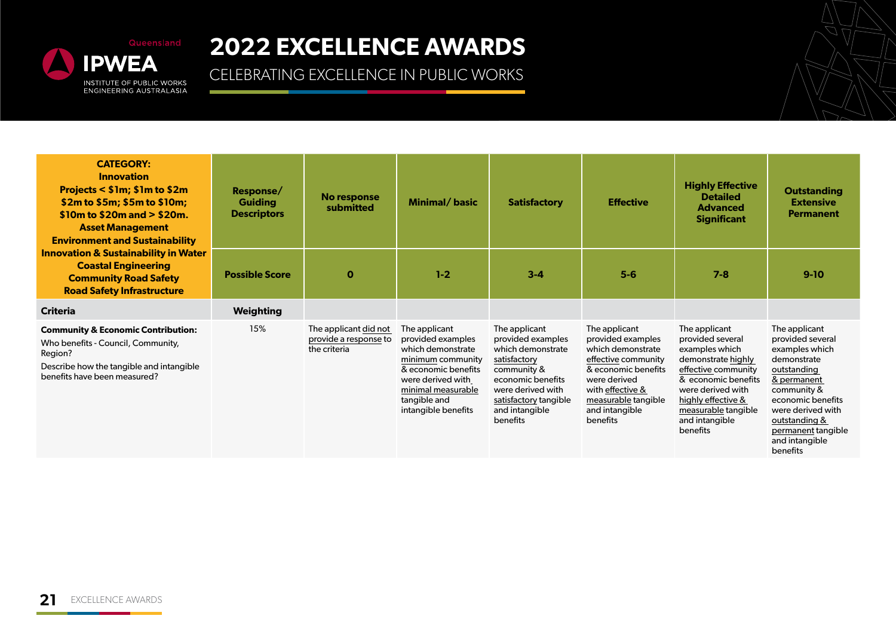

| <b>CATEGORY:</b><br><b>Innovation</b><br>Projects < \$1m; \$1m to \$2m<br>\$2m to \$5m; \$5m to \$10m;<br>$$10m$ to $$20m$ and $> $20m$ .<br><b>Asset Management</b><br><b>Environment and Sustainability</b> | Response/<br><b>Guiding</b><br><b>Descriptors</b> | No response<br>submitted                                       | Minimal/basic                                                                                                                                                                         | <b>Satisfactory</b>                                                                                                                                                                     | <b>Effective</b>                                                                                                                                                                               | <b>Highly Effective</b><br><b>Detailed</b><br><b>Advanced</b><br><b>Significant</b>                                                                                                                                     | <b>Outstanding</b><br><b>Extensive</b><br><b>Permanent</b>                                                                                                                                                                     |
|---------------------------------------------------------------------------------------------------------------------------------------------------------------------------------------------------------------|---------------------------------------------------|----------------------------------------------------------------|---------------------------------------------------------------------------------------------------------------------------------------------------------------------------------------|-----------------------------------------------------------------------------------------------------------------------------------------------------------------------------------------|------------------------------------------------------------------------------------------------------------------------------------------------------------------------------------------------|-------------------------------------------------------------------------------------------------------------------------------------------------------------------------------------------------------------------------|--------------------------------------------------------------------------------------------------------------------------------------------------------------------------------------------------------------------------------|
| <b>Innovation &amp; Sustainability in Water</b><br><b>Coastal Engineering</b><br><b>Community Road Safety</b><br><b>Road Safety Infrastructure</b>                                                            | <b>Possible Score</b>                             | $\mathbf{o}$                                                   | $1 - 2$                                                                                                                                                                               | $3 - 4$                                                                                                                                                                                 | $5-6$                                                                                                                                                                                          | $7 - 8$                                                                                                                                                                                                                 | $9-10$                                                                                                                                                                                                                         |
| <b>Criteria</b>                                                                                                                                                                                               | <b>Weighting</b>                                  |                                                                |                                                                                                                                                                                       |                                                                                                                                                                                         |                                                                                                                                                                                                |                                                                                                                                                                                                                         |                                                                                                                                                                                                                                |
| <b>Community &amp; Economic Contribution:</b><br>Who benefits - Council, Community,<br>Region?<br>Describe how the tangible and intangible<br>benefits have been measured?                                    | 15%                                               | The applicant did not<br>provide a response to<br>the criteria | The applicant<br>provided examples<br>which demonstrate<br>minimum community<br>& economic benefits<br>were derived with<br>minimal measurable<br>tangible and<br>intangible benefits | The applicant<br>provided examples<br>which demonstrate<br>satisfactory<br>community &<br>economic benefits<br>were derived with<br>satisfactory tangible<br>and intangible<br>benefits | The applicant<br>provided examples<br>which demonstrate<br>effective community<br>& economic benefits<br>were derived<br>with effective &<br>measurable tangible<br>and intangible<br>benefits | The applicant<br>provided several<br>examples which<br>demonstrate highly<br>effective community<br>& economic benefits<br>were derived with<br>highly effective &<br>measurable tangible<br>and intangible<br>benefits | The applicant<br>provided several<br>examples which<br>demonstrate<br>outstanding<br>& permanent<br>community &<br>economic benefits<br>were derived with<br>outstanding &<br>permanent tangible<br>and intangible<br>benefits |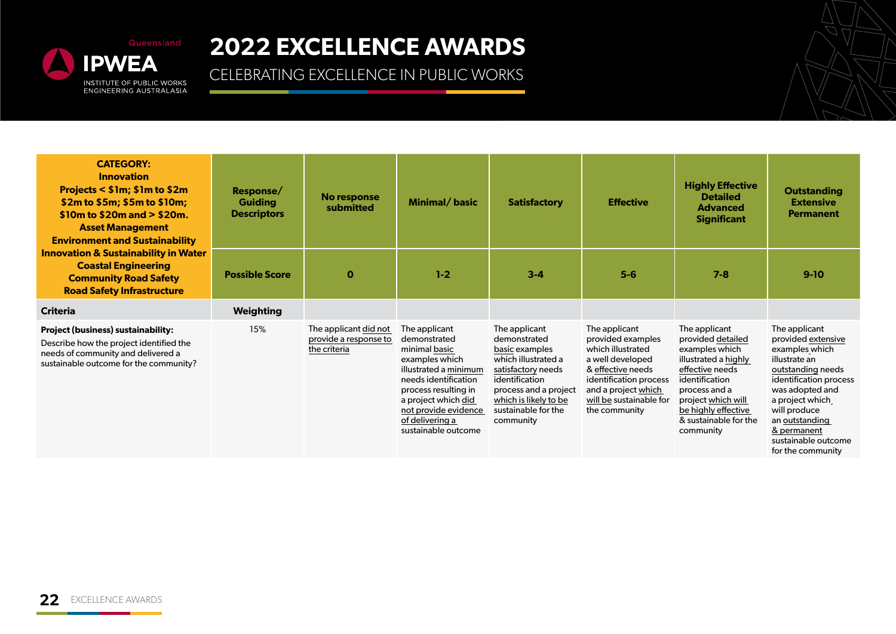

| <b>CATEGORY:</b><br><b>Innovation</b><br>Projects < \$1m; \$1m to \$2m<br>\$2m to \$5m; \$5m to \$10m;<br>$$10m$ to $$20m$ and $> $20m$ .<br><b>Asset Management</b><br><b>Environment and Sustainability</b> | Response/<br><b>Guiding</b><br><b>Descriptors</b> | No response<br>submitted                                       | Minimal/basic                                                                                                                                                                                                                      | <b>Satisfactory</b>                                                                                                                                                                                  | <b>Effective</b>                                                                                                                                                                              | <b>Highly Effective</b><br><b>Detailed</b><br><b>Advanced</b><br><b>Significant</b>                                                                                                                                   | <b>Outstanding</b><br><b>Extensive</b><br><b>Permanent</b>                                                                                                                                                                                               |
|---------------------------------------------------------------------------------------------------------------------------------------------------------------------------------------------------------------|---------------------------------------------------|----------------------------------------------------------------|------------------------------------------------------------------------------------------------------------------------------------------------------------------------------------------------------------------------------------|------------------------------------------------------------------------------------------------------------------------------------------------------------------------------------------------------|-----------------------------------------------------------------------------------------------------------------------------------------------------------------------------------------------|-----------------------------------------------------------------------------------------------------------------------------------------------------------------------------------------------------------------------|----------------------------------------------------------------------------------------------------------------------------------------------------------------------------------------------------------------------------------------------------------|
| <b>Innovation &amp; Sustainability in Water</b><br><b>Coastal Engineering</b><br><b>Community Road Safety</b><br><b>Road Safety Infrastructure</b>                                                            | <b>Possible Score</b>                             | $\mathbf 0$                                                    | $1 - 2$                                                                                                                                                                                                                            | $3 - 4$                                                                                                                                                                                              | $5-6$                                                                                                                                                                                         | $7 - 8$                                                                                                                                                                                                               | $9-10$                                                                                                                                                                                                                                                   |
| <b>Criteria</b>                                                                                                                                                                                               | Weighting                                         |                                                                |                                                                                                                                                                                                                                    |                                                                                                                                                                                                      |                                                                                                                                                                                               |                                                                                                                                                                                                                       |                                                                                                                                                                                                                                                          |
| <b>Project (business) sustainability:</b><br>Describe how the project identified the<br>needs of community and delivered a<br>sustainable outcome for the community?                                          | 15%                                               | The applicant did not<br>provide a response to<br>the criteria | The applicant<br>demonstrated<br>minimal basic<br>examples which<br>illustrated a minimum<br>needs identification<br>process resulting in<br>a project which did<br>not provide evidence<br>of delivering a<br>sustainable outcome | The applicant<br>demonstrated<br>basic examples<br>which illustrated a<br>satisfactory needs<br>identification<br>process and a project<br>which is likely to be<br>sustainable for the<br>community | The applicant<br>provided examples<br>which illustrated<br>a well developed<br>& effective needs<br>identification process<br>and a project which<br>will be sustainable for<br>the community | The applicant<br>provided detailed<br>examples which<br>illustrated a highly<br>effective needs<br>identification<br>process and a<br>project which will<br>be highly effective<br>& sustainable for the<br>community | The applicant<br>provided extensive<br>examples which<br>illustrate an<br>outstanding needs<br>identification process<br>was adopted and<br>a project which<br>will produce<br>an outstanding<br>& permanent<br>sustainable outcome<br>for the community |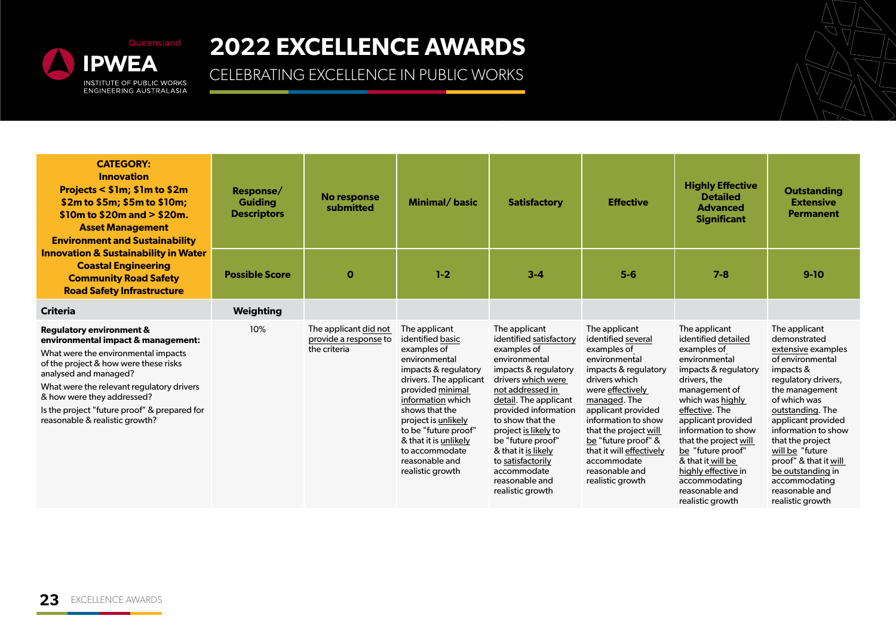

| <b>CATEGORY:</b><br><b>Innovation</b><br>Projects < \$1m; \$1m to \$2m<br>\$2m to \$5m; \$5m to \$10m;<br>$$10m$ to $$20m$ and $> $20m$ .<br><b>Asset Management</b><br><b>Environment and Sustainability</b>                                                                                                                                   | Response/<br><b>Guiding</b><br><b>Descriptors</b> | <b>No response</b><br>submitted                                | Minimal/basic                                                                                                                                                                                                                                                                                                  | <b>Satisfactory</b>                                                                                                                                                                                                                                                                                                                                           | <b>Effective</b>                                                                                                                                                                                                                                                                                                               | <b>Highly Effective</b><br><b>Detailed</b><br><b>Advanced</b><br><b>Significant</b>                                                                                                                                                                                                                                                                               | <b>Outstanding</b><br><b>Extensive</b><br><b>Permanent</b>                                                                                                                                                                                                                                                                                                 |
|-------------------------------------------------------------------------------------------------------------------------------------------------------------------------------------------------------------------------------------------------------------------------------------------------------------------------------------------------|---------------------------------------------------|----------------------------------------------------------------|----------------------------------------------------------------------------------------------------------------------------------------------------------------------------------------------------------------------------------------------------------------------------------------------------------------|---------------------------------------------------------------------------------------------------------------------------------------------------------------------------------------------------------------------------------------------------------------------------------------------------------------------------------------------------------------|--------------------------------------------------------------------------------------------------------------------------------------------------------------------------------------------------------------------------------------------------------------------------------------------------------------------------------|-------------------------------------------------------------------------------------------------------------------------------------------------------------------------------------------------------------------------------------------------------------------------------------------------------------------------------------------------------------------|------------------------------------------------------------------------------------------------------------------------------------------------------------------------------------------------------------------------------------------------------------------------------------------------------------------------------------------------------------|
| <b>Innovation &amp; Sustainability in Water</b><br><b>Coastal Engineering</b><br><b>Community Road Safety</b><br><b>Road Safety Infrastructure</b>                                                                                                                                                                                              | <b>Possible Score</b>                             | $\mathbf 0$                                                    | $1-2$                                                                                                                                                                                                                                                                                                          | $3 - 4$                                                                                                                                                                                                                                                                                                                                                       | $5-6$                                                                                                                                                                                                                                                                                                                          | $7 - 8$                                                                                                                                                                                                                                                                                                                                                           | $9-10$                                                                                                                                                                                                                                                                                                                                                     |
| <b>Criteria</b>                                                                                                                                                                                                                                                                                                                                 | <b>Weighting</b>                                  |                                                                |                                                                                                                                                                                                                                                                                                                |                                                                                                                                                                                                                                                                                                                                                               |                                                                                                                                                                                                                                                                                                                                |                                                                                                                                                                                                                                                                                                                                                                   |                                                                                                                                                                                                                                                                                                                                                            |
| <b>Regulatory environment &amp;</b><br>environmental impact & management:<br>What were the environmental impacts<br>of the project & how were these risks<br>analysed and managed?<br>What were the relevant regulatory drivers<br>& how were they addressed?<br>Is the project "future proof" & prepared for<br>reasonable & realistic growth? | 10%                                               | The applicant did not<br>provide a response to<br>the criteria | The applicant<br>identified basic<br>examples of<br>environmental<br>impacts & regulatory<br>drivers. The applicant<br>provided minimal<br>information which<br>shows that the<br>project is unlikely<br>to be "future proof"<br>& that it is unlikely<br>to accommodate<br>reasonable and<br>realistic growth | The applicant<br>identified satisfactory<br>examples of<br>environmental<br>impacts & regulatory<br>drivers which were<br>not addressed in<br>detail. The applicant<br>provided information<br>to show that the<br>project is likely to<br>be "future proof"<br>& that it is likely<br>to satisfactorily<br>accommodate<br>reasonable and<br>realistic growth | The applicant<br>identified several<br>examples of<br>environmental<br>impacts & regulatory<br>drivers which<br>were effectively<br>managed. The<br>applicant provided<br>information to show<br>that the project will<br>be "future proof" &<br>that it will effectively<br>accommodate<br>reasonable and<br>realistic growth | The applicant<br>identified detailed<br>examples of<br>environmental<br>impacts & regulatory<br>drivers, the<br>management of<br>which was highly<br>effective. The<br>applicant provided<br>information to show<br>that the project will<br>be "future proof"<br>& that it will be<br>highly effective in<br>accommodating<br>reasonable and<br>realistic growth | The applicant<br>demonstrated<br>extensive examples<br>of environmental<br>impacts &<br>regulatory drivers,<br>the management<br>of which was<br>outstanding. The<br>applicant provided<br>information to show<br>that the project<br>will be "future<br>proof" & that it will<br>be outstanding in<br>accommodating<br>reasonable and<br>realistic growth |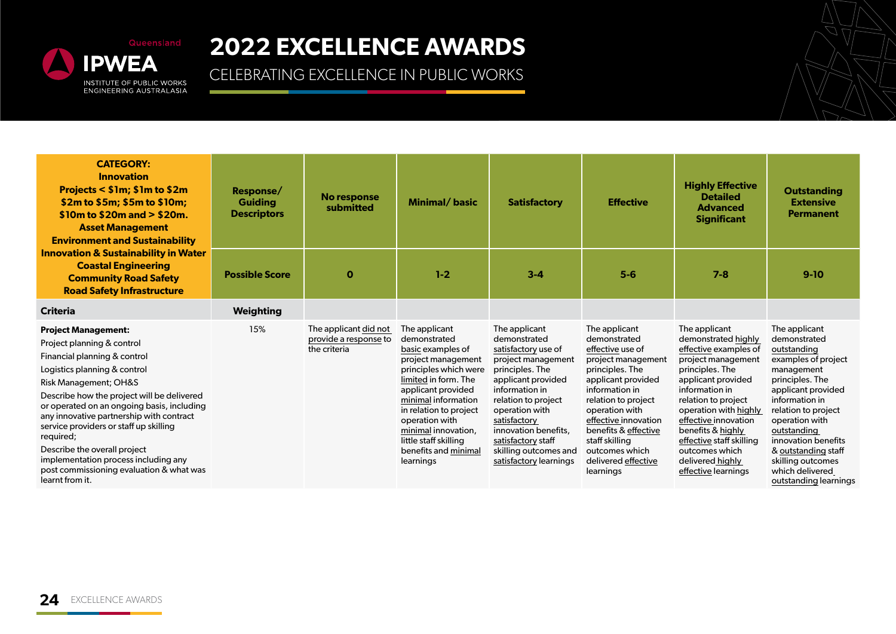

| <b>CATEGORY:</b><br><b>Innovation</b><br>Projects < \$1m; \$1m to \$2m<br>\$2m to \$5m; \$5m to \$10m;<br>$$10m$ to $$20m$ and $> $20m$ .<br><b>Asset Management</b><br><b>Environment and Sustainability</b>                                                                                                                                                                                                                                                                           | Response/<br><b>Guiding</b><br><b>Descriptors</b> | No response<br>submitted                                       | Minimal/basic                                                                                                                                                                                                                                                                                           | <b>Satisfactory</b>                                                                                                                                                                                                                                                                             | <b>Effective</b>                                                                                                                                                                                                                                                                                    | <b>Highly Effective</b><br><b>Detailed</b><br><b>Advanced</b><br><b>Significant</b>                                                                                                                                                                                                                                                  | <b>Outstanding</b><br><b>Extensive</b><br><b>Permanent</b>                                                                                                                                                                                                                                                          |
|-----------------------------------------------------------------------------------------------------------------------------------------------------------------------------------------------------------------------------------------------------------------------------------------------------------------------------------------------------------------------------------------------------------------------------------------------------------------------------------------|---------------------------------------------------|----------------------------------------------------------------|---------------------------------------------------------------------------------------------------------------------------------------------------------------------------------------------------------------------------------------------------------------------------------------------------------|-------------------------------------------------------------------------------------------------------------------------------------------------------------------------------------------------------------------------------------------------------------------------------------------------|-----------------------------------------------------------------------------------------------------------------------------------------------------------------------------------------------------------------------------------------------------------------------------------------------------|--------------------------------------------------------------------------------------------------------------------------------------------------------------------------------------------------------------------------------------------------------------------------------------------------------------------------------------|---------------------------------------------------------------------------------------------------------------------------------------------------------------------------------------------------------------------------------------------------------------------------------------------------------------------|
| <b>Innovation &amp; Sustainability in Water</b><br><b>Coastal Engineering</b><br><b>Community Road Safety</b><br><b>Road Safety Infrastructure</b>                                                                                                                                                                                                                                                                                                                                      | <b>Possible Score</b>                             | $\mathbf o$                                                    | $1-2$                                                                                                                                                                                                                                                                                                   | $3 - 4$                                                                                                                                                                                                                                                                                         | $5-6$                                                                                                                                                                                                                                                                                               | $7 - 8$                                                                                                                                                                                                                                                                                                                              | $9-10$                                                                                                                                                                                                                                                                                                              |
| <b>Criteria</b>                                                                                                                                                                                                                                                                                                                                                                                                                                                                         | <b>Weighting</b>                                  |                                                                |                                                                                                                                                                                                                                                                                                         |                                                                                                                                                                                                                                                                                                 |                                                                                                                                                                                                                                                                                                     |                                                                                                                                                                                                                                                                                                                                      |                                                                                                                                                                                                                                                                                                                     |
| <b>Project Management:</b><br>Project planning & control<br>Financial planning & control<br>Logistics planning & control<br>Risk Management; OH&S<br>Describe how the project will be delivered<br>or operated on an ongoing basis, including<br>any innovative partnership with contract<br>service providers or staff up skilling<br>required;<br>Describe the overall project<br>implementation process including any<br>post commissioning evaluation & what was<br>learnt from it. | 15%                                               | The applicant did not<br>provide a response to<br>the criteria | The applicant<br>demonstrated<br>basic examples of<br>project management<br>principles which were<br>limited in form. The<br>applicant provided<br>minimal information<br>in relation to project<br>operation with<br>minimal innovation,<br>little staff skilling<br>benefits and minimal<br>learnings | The applicant<br>demonstrated<br>satisfactory use of<br>project management<br>principles. The<br>applicant provided<br>information in<br>relation to project<br>operation with<br>satisfactory<br>innovation benefits,<br>satisfactory staff<br>skilling outcomes and<br>satisfactory learnings | The applicant<br>demonstrated<br>effective use of<br>project management<br>principles. The<br>applicant provided<br>information in<br>relation to project<br>operation with<br>effective innovation<br>benefits & effective<br>staff skilling<br>outcomes which<br>delivered effective<br>learnings | The applicant<br>demonstrated highly<br>effective examples of<br>project management<br>principles. The<br>applicant provided<br>information in<br>relation to project<br>operation with highly<br>effective innovation<br>benefits & highly<br>effective staff skilling<br>outcomes which<br>delivered highly<br>effective learnings | The applicant<br>demonstrated<br>outstanding<br>examples of project<br>management<br>principles. The<br>applicant provided<br>information in<br>relation to project<br>operation with<br>outstanding<br>innovation benefits<br>& outstanding staff<br>skilling outcomes<br>which delivered<br>outstanding learnings |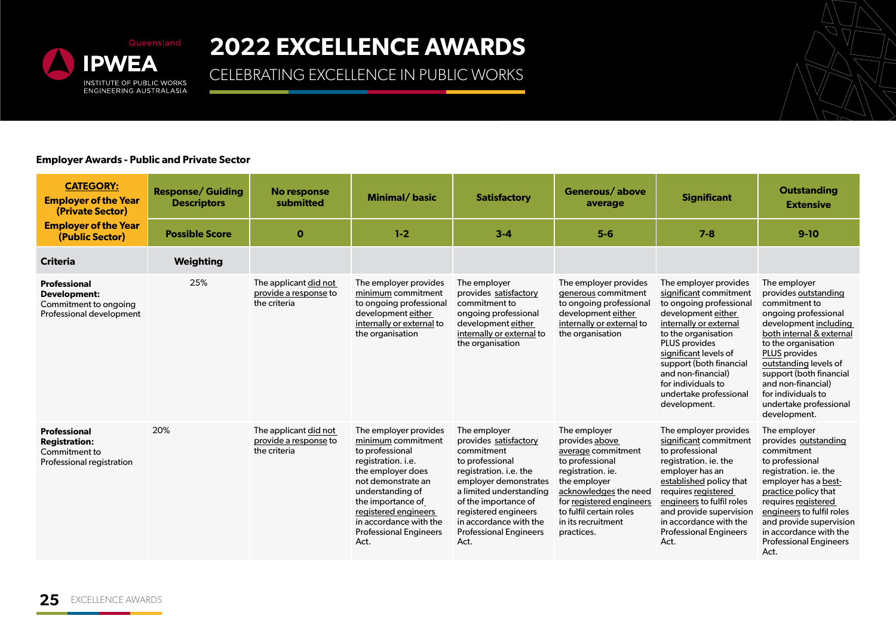

### CELEBRATING EXCELLENCE IN PUBLIC WORKS

#### **Employer Awards - Public and Private Sector**

| <b>CATEGORY:</b><br><b>Employer of the Year</b><br>(Private Sector)                       | <b>Response/ Guiding</b><br><b>Descriptors</b> | No response<br>submitted                                       | Minimal/basic                                                                                                                                                                                                                                                       | <b>Satisfactory</b>                                                                                                                                                                                                                                                     | Generous/above<br>average                                                                                                                                                                                                        | <b>Significant</b>                                                                                                                                                                                                                                                                                                 | <b>Outstanding</b><br><b>Extensive</b>                                                                                                                                                                                                                                                                                      |
|-------------------------------------------------------------------------------------------|------------------------------------------------|----------------------------------------------------------------|---------------------------------------------------------------------------------------------------------------------------------------------------------------------------------------------------------------------------------------------------------------------|-------------------------------------------------------------------------------------------------------------------------------------------------------------------------------------------------------------------------------------------------------------------------|----------------------------------------------------------------------------------------------------------------------------------------------------------------------------------------------------------------------------------|--------------------------------------------------------------------------------------------------------------------------------------------------------------------------------------------------------------------------------------------------------------------------------------------------------------------|-----------------------------------------------------------------------------------------------------------------------------------------------------------------------------------------------------------------------------------------------------------------------------------------------------------------------------|
| <b>Employer of the Year</b><br>(Public Sector)                                            | <b>Possible Score</b>                          | $\mathbf 0$                                                    | $1-2$                                                                                                                                                                                                                                                               | $3 - 4$                                                                                                                                                                                                                                                                 | $5-6$                                                                                                                                                                                                                            | $7 - 8$                                                                                                                                                                                                                                                                                                            | $9-10$                                                                                                                                                                                                                                                                                                                      |
| <b>Criteria</b>                                                                           | Weighting                                      |                                                                |                                                                                                                                                                                                                                                                     |                                                                                                                                                                                                                                                                         |                                                                                                                                                                                                                                  |                                                                                                                                                                                                                                                                                                                    |                                                                                                                                                                                                                                                                                                                             |
| Professional<br><b>Development:</b><br>Commitment to ongoing<br>Professional development  | 25%                                            | The applicant did not<br>provide a response to<br>the criteria | The employer provides<br>minimum commitment<br>to ongoing professional<br>development either<br>internally or external to<br>the organisation                                                                                                                       | The employer<br>provides satisfactory<br>commitment to<br>ongoing professional<br>development either<br>internally or external to<br>the organisation                                                                                                                   | The employer provides<br>generous commitment<br>to ongoing professional<br>development either<br>internally or external to<br>the organisation                                                                                   | The employer provides<br>significant commitment<br>to ongoing professiona<br>development either<br>internally or external<br>to the organisation<br><b>PLUS</b> provides<br>significant levels of<br>support (both financial<br>and non-financial)<br>for individuals to<br>undertake professional<br>development. | The employer<br>provides outstanding<br>commitment to<br>ongoing professional<br>development including<br>both internal & external<br>to the organisation<br><b>PLUS</b> provides<br>outstanding levels of<br>support (both financial<br>and non-financial)<br>for individuals to<br>undertake professional<br>development. |
| <b>Professional</b><br><b>Registration:</b><br>Commitment to<br>Professional registration | 20%                                            | The applicant did not<br>provide a response to<br>the criteria | The employer provides<br>minimum commitment<br>to professional<br>registration. i.e.<br>the employer does<br>not demonstrate an<br>understanding of<br>the importance of<br>registered engineers<br>in accordance with the<br><b>Professional Engineers</b><br>Act. | The employer<br>provides satisfactory<br>commitment<br>to professional<br>registration. i.e. the<br>employer demonstrates<br>a limited understanding<br>of the importance of<br>registered engineers<br>in accordance with the<br><b>Professional Engineers</b><br>Act. | The employer<br>provides above<br>average commitment<br>to professional<br>registration. ie.<br>the employer<br>acknowledges the need<br>for registered engineers<br>to fulfil certain roles<br>in its recruitment<br>practices. | The employer provides<br>significant commitment<br>to professional<br>registration. ie. the<br>employer has an<br>established policy that<br>requires registered<br>engineers to fulfil roles<br>and provide supervision<br>in accordance with the<br><b>Professional Engineers</b><br>Act.                        | The employer<br>provides outstanding<br>commitment<br>to professional<br>registration, ie, the<br>employer has a best-<br>practice policy that<br>requires registered<br>engineers to fulfil roles<br>and provide supervision<br>in accordance with the<br><b>Professional Engineers</b><br>Act.                            |